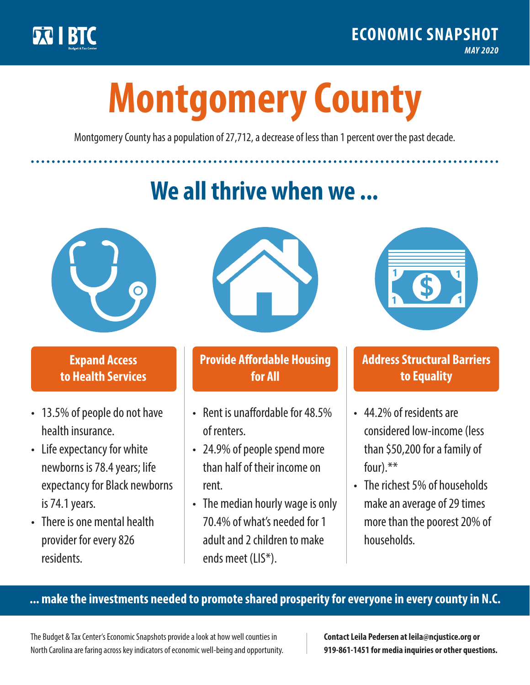

**1**

# **Montgomery County**

Montgomery County has a population of 27,712, a decrease of less than 1 percent over the past decade.

# **We all thrive when we ...**



**\$ <sup>1</sup>**

**\$ <sup>1</sup>**

## **Expand Access to Health Services**

- 13.5% of people do not have health insurance.
- Life expectancy for white newborns is 78.4years; life expectancy for Black newborns is 74.1years.
- There is one mental health provider for every 826 residents.



## **Provide Affordable Housing for All**

- Rent is unaffordable for 48.5% of renters.
- 24.9% of people spend more than half of their income on rent.
- The median hourly wage is only 70.4% of what's needed for 1 adult and 2 children to make ends meet (LIS\*).



## **Address Structural Barriers to Equality**

- 44.2% of residents are considered low-income (less than \$50,200 for a family of four) $.**$
- The richest 5% of households make an average of 29 times more than the poorest 20% of households.

#### **... make the investments needed to promote shared prosperity for everyone in every county in N.C.**

The Budget & Tax Center's Economic Snapshots provide a look at how well counties in North Carolina are faring across key indicators of economic well-being and opportunity.